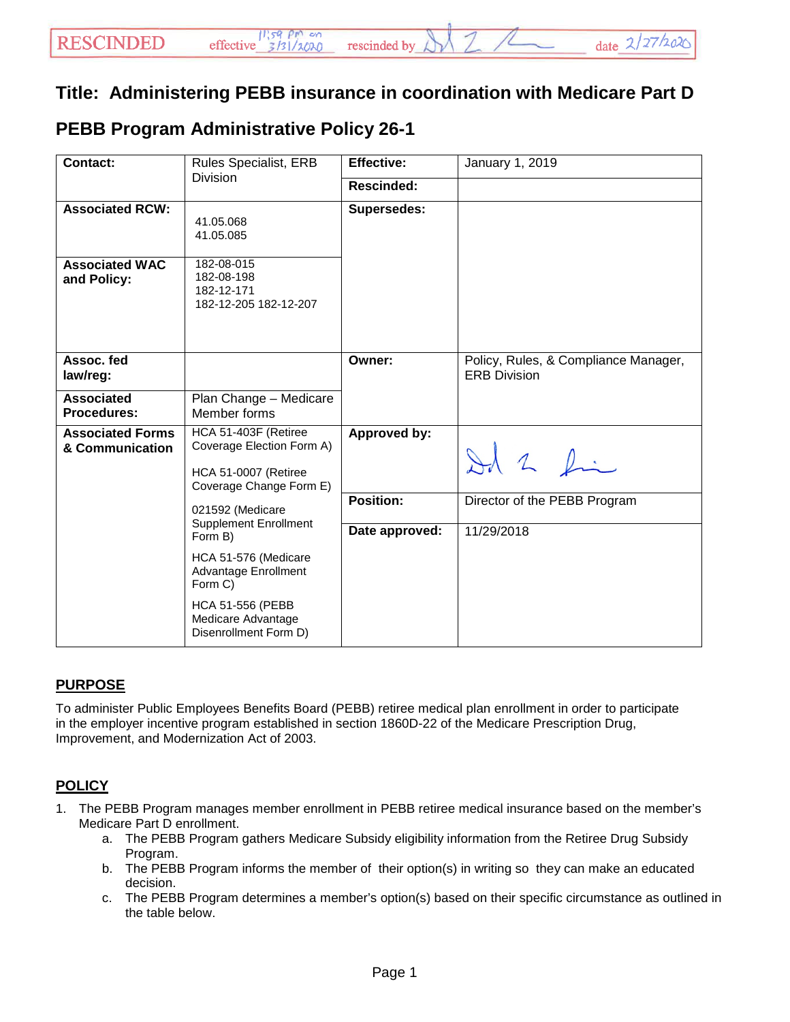## **Title: Administering PEBB insurance in coordination with Medicare Part D**

## **PEBB Program Administrative Policy 26-1**

| <b>Contact:</b>                            | <b>Rules Specialist, ERB</b>                                                                         | <b>Effective:</b>  | January 1, 2019                                             |
|--------------------------------------------|------------------------------------------------------------------------------------------------------|--------------------|-------------------------------------------------------------|
|                                            | <b>Division</b>                                                                                      | <b>Rescinded:</b>  |                                                             |
| <b>Associated RCW:</b>                     | 41.05.068<br>41.05.085                                                                               | <b>Supersedes:</b> |                                                             |
| <b>Associated WAC</b><br>and Policy:       | 182-08-015<br>182-08-198<br>182-12-171<br>182-12-205 182-12-207                                      |                    |                                                             |
| Assoc. fed<br>law/reg:                     |                                                                                                      | Owner:             | Policy, Rules, & Compliance Manager,<br><b>ERB Division</b> |
| <b>Associated</b><br><b>Procedures:</b>    | Plan Change - Medicare<br>Member forms                                                               |                    |                                                             |
| <b>Associated Forms</b><br>& Communication | HCA 51-403F (Retiree<br>Coverage Election Form A)<br>HCA 51-0007 (Retiree<br>Coverage Change Form E) | Approved by:       | Id 2 fin                                                    |
|                                            | 021592 (Medicare<br><b>Supplement Enrollment</b><br>Form B)                                          | <b>Position:</b>   | Director of the PEBB Program                                |
|                                            |                                                                                                      | Date approved:     | 11/29/2018                                                  |
|                                            | HCA 51-576 (Medicare<br>Advantage Enrollment<br>Form C)                                              |                    |                                                             |
|                                            | <b>HCA 51-556 (PEBB</b><br>Medicare Advantage<br>Disenrollment Form D)                               |                    |                                                             |

## **PURPOSE**

To administer Public Employees Benefits Board (PEBB) retiree medical plan enrollment in order to participate in the employer incentive program established in section 1860D-22 of the Medicare Prescription Drug, Improvement, and Modernization Act of 2003.

## **POLICY**

- 1. The PEBB Program manages member enrollment in PEBB retiree medical insurance based on the member's Medicare Part D enrollment.
	- a. The PEBB Program gathers Medicare Subsidy eligibility information from the Retiree Drug Subsidy Program.
	- b. The PEBB Program informs the member of their option(s) in writing so they can make an educated decision.
	- c. The PEBB Program determines a member's option(s) based on their specific circumstance as outlined in the table below.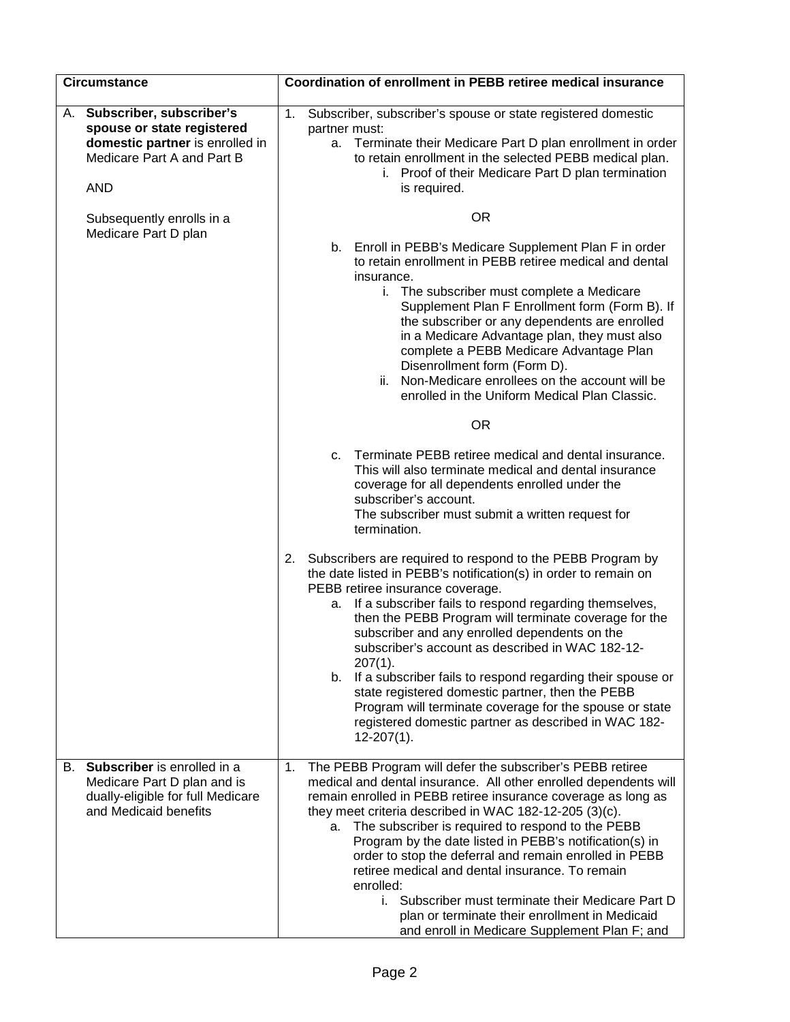| <b>Circumstance</b>       |                                                                                                                             | Coordination of enrollment in PEBB retiree medical insurance                                                                                                                                                                                                                                                                                                                                                                                                                                                                                                                                                                                                                 |
|---------------------------|-----------------------------------------------------------------------------------------------------------------------------|------------------------------------------------------------------------------------------------------------------------------------------------------------------------------------------------------------------------------------------------------------------------------------------------------------------------------------------------------------------------------------------------------------------------------------------------------------------------------------------------------------------------------------------------------------------------------------------------------------------------------------------------------------------------------|
| <b>AND</b>                | A. Subscriber, subscriber's<br>spouse or state registered<br>domestic partner is enrolled in<br>Medicare Part A and Part B  | 1.<br>Subscriber, subscriber's spouse or state registered domestic<br>partner must:<br>Terminate their Medicare Part D plan enrollment in order<br>а.<br>to retain enrollment in the selected PEBB medical plan.<br>i. Proof of their Medicare Part D plan termination<br>is required.                                                                                                                                                                                                                                                                                                                                                                                       |
| Subsequently enrolls in a |                                                                                                                             | <b>OR</b>                                                                                                                                                                                                                                                                                                                                                                                                                                                                                                                                                                                                                                                                    |
|                           | Medicare Part D plan                                                                                                        | b. Enroll in PEBB's Medicare Supplement Plan F in order<br>to retain enrollment in PEBB retiree medical and dental<br>insurance.<br>i. The subscriber must complete a Medicare<br>Supplement Plan F Enrollment form (Form B). If<br>the subscriber or any dependents are enrolled<br>in a Medicare Advantage plan, they must also<br>complete a PEBB Medicare Advantage Plan<br>Disenrollment form (Form D).<br>Non-Medicare enrollees on the account will be<br>ii.<br>enrolled in the Uniform Medical Plan Classic.<br><b>OR</b>                                                                                                                                           |
|                           |                                                                                                                             | Terminate PEBB retiree medical and dental insurance.<br>C.<br>This will also terminate medical and dental insurance<br>coverage for all dependents enrolled under the<br>subscriber's account.<br>The subscriber must submit a written request for<br>termination.                                                                                                                                                                                                                                                                                                                                                                                                           |
|                           |                                                                                                                             | Subscribers are required to respond to the PEBB Program by<br>2.<br>the date listed in PEBB's notification(s) in order to remain on<br>PEBB retiree insurance coverage.<br>If a subscriber fails to respond regarding themselves,<br>а.<br>then the PEBB Program will terminate coverage for the<br>subscriber and any enrolled dependents on the<br>subscriber's account as described in WAC 182-12-<br>$207(1)$ .<br>b. If a subscriber fails to respond regarding their spouse or<br>state registered domestic partner, then the PEBB<br>Program will terminate coverage for the spouse or state<br>registered domestic partner as described in WAC 182-<br>$12-207(1)$ . |
|                           | B. Subscriber is enrolled in a<br>Medicare Part D plan and is<br>dually-eligible for full Medicare<br>and Medicaid benefits | The PEBB Program will defer the subscriber's PEBB retiree<br>1.<br>medical and dental insurance. All other enrolled dependents will<br>remain enrolled in PEBB retiree insurance coverage as long as<br>they meet criteria described in WAC 182-12-205 (3)(c).<br>a. The subscriber is required to respond to the PEBB<br>Program by the date listed in PEBB's notification(s) in<br>order to stop the deferral and remain enrolled in PEBB<br>retiree medical and dental insurance. To remain<br>enrolled:<br>i. Subscriber must terminate their Medicare Part D<br>plan or terminate their enrollment in Medicaid<br>and enroll in Medicare Supplement Plan F; and         |